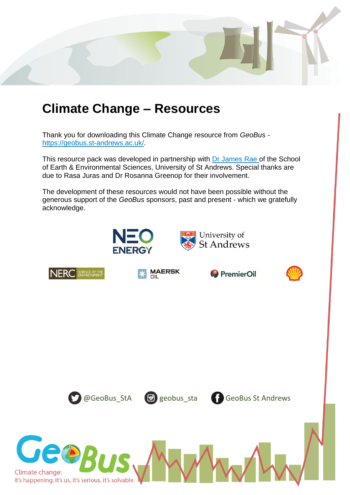

# **Climate Change – Resources**

Thank you for downloading this Climate Change resource from *GeoBus*  [https://geobus.st-andrews.ac.uk/.](https://geobus.st-andrews.ac.uk/)

This resource pack was developed in partnership with [Dr James Rae](https://www.jameswbrae.com/) of the School of Earth & Environmental Sciences, University of St Andrews. Special thanks are due to Rasa Juras and Dr Rosanna Greenop for their involvement.

The development of these resources would not have been possible without the generous support of the *GeoBus* sponsors, past and present - which we gratefully acknowledge.





**Climate change:**<br>it's happening, it's us, it's serious, it's solvable

**MAERSK** 





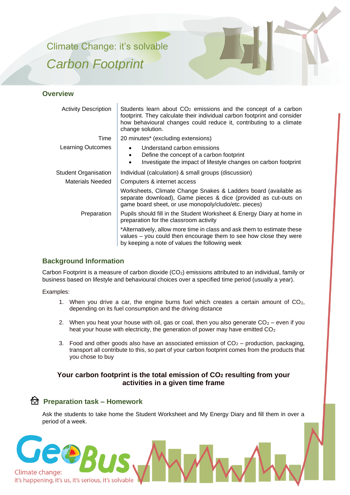Climate Change: it's solvable *Carbon Footprint* 



#### **Overview**

| <b>Activity Description</b> | Students learn about $CO2$ emissions and the concept of a carbon<br>footprint. They calculate their individual carbon footprint and consider<br>how behavioural changes could reduce it, contributing to a climate<br>change solution. |  |  |  |
|-----------------------------|----------------------------------------------------------------------------------------------------------------------------------------------------------------------------------------------------------------------------------------|--|--|--|
| Time                        | 20 minutes* (excluding extensions)                                                                                                                                                                                                     |  |  |  |
| Learning Outcomes           | Understand carbon emissions<br>Define the concept of a carbon footprint<br>Investigate the impact of lifestyle changes on carbon footprint<br>$\bullet$                                                                                |  |  |  |
| <b>Student Organisation</b> | Individual (calculation) & small groups (discussion)                                                                                                                                                                                   |  |  |  |
| <b>Materials Needed</b>     | Computers & internet access                                                                                                                                                                                                            |  |  |  |
|                             | Worksheets, Climate Change Snakes & Ladders board (available as<br>separate download), Game pieces & dice (provided as cut-outs on<br>game board sheet, or use monopoly/cludo/etc. pieces)                                             |  |  |  |
| Preparation                 | Pupils should fill in the Student Worksheet & Energy Diary at home in<br>preparation for the classroom activity                                                                                                                        |  |  |  |
|                             | *Alternatively, allow more time in class and ask them to estimate these<br>values - you could then encourage them to see how close they were<br>by keeping a note of values the following week                                         |  |  |  |

#### **Background Information**

Carbon Footprint is a measure of carbon dioxide  $(CO<sub>2</sub>)$  emissions attributed to an individual, family or business based on lifestyle and behavioural choices over a specified time period (usually a year).

Examples:

- 1. When you drive a car, the engine burns fuel which creates a certain amount of  $CO<sub>2</sub>$ , depending on its fuel consumption and the driving distance
- 2. When you heat your house with oil, gas or coal, then you also generate  $CO<sub>2</sub>$  even if you heat your house with electricity, the generation of power may have emitted CO<sub>2</sub>
- 3. Food and other goods also have an associated emission of  $CO<sub>2</sub>$  production, packaging, transport all contribute to this, so part of your carbon footprint comes from the products that you chose to buy

#### **Your carbon footprint is the total emission of CO<sup>2</sup> resulting from your activities in a given time frame**

### **Preparation task – Homework**

Ask the students to take home the Student Worksheet and My Energy Diary and fill them in over a period of a week.

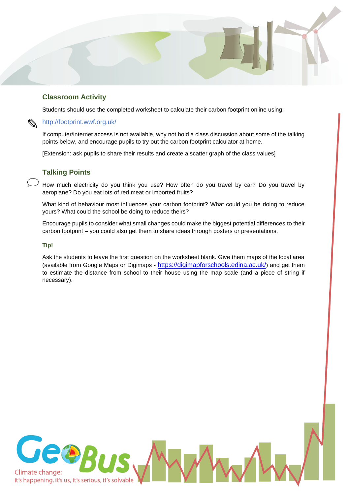#### **Classroom Activity**

Students should use the completed worksheet to calculate their carbon footprint online using:

#### $\mathbb{Q}$ <http://footprint.wwf.org.uk/>

If computer/internet access is not available, why not hold a class discussion about some of the talking points below, and encourage pupils to try out the carbon footprint calculator at home.

[Extension: ask pupils to share their results and create a scatter graph of the class values]

#### **Talking Points**

How much electricity do you think you use? How often do you travel by car? Do you travel by aeroplane? Do you eat lots of red meat or imported fruits?

What kind of behaviour most influences your carbon footprint? What could you be doing to reduce yours? What could the school be doing to reduce theirs?

Encourage pupils to consider what small changes could make the biggest potential differences to their carbon footprint – you could also get them to share ideas through posters or presentations.

#### **Tip!**

Ask the students to leave the first question on the worksheet blank. Give them maps of the local area (available from Google Maps or Digimaps - <https://digimapforschools.edina.ac.uk/>) and get them to estimate the distance from school to their house using the map scale (and a piece of string if necessary).

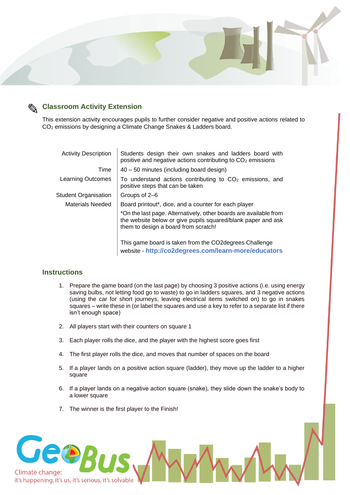

### **Classroom Activity Extension**

This extension activity encourages pupils to further consider negative and positive actions related to CO<sup>2</sup> emissions by designing a Climate Change Snakes & Ladders board.

| <b>Activity Description</b> | Students design their own snakes and ladders board with<br>positive and negative actions contributing to CO <sub>2</sub> emissions                                        |  |  |  |  |  |
|-----------------------------|---------------------------------------------------------------------------------------------------------------------------------------------------------------------------|--|--|--|--|--|
| Time                        | 40 – 50 minutes (including board design)                                                                                                                                  |  |  |  |  |  |
| <b>Learning Outcomes</b>    | To understand actions contributing to $CO2$ emissions, and<br>positive steps that can be taken                                                                            |  |  |  |  |  |
| <b>Student Organisation</b> | Groups of 2–6                                                                                                                                                             |  |  |  |  |  |
| Materials Needed            | Board printout*, dice, and a counter for each player                                                                                                                      |  |  |  |  |  |
|                             | *On the last page. Alternatively, other boards are available from<br>the website below or give pupils squared/blank paper and ask<br>them to design a board from scratch! |  |  |  |  |  |
|                             | This game board is taken from the CO2 degrees Challenge<br>website - http://co2degrees.com/learn-more/educators                                                           |  |  |  |  |  |

#### **Instructions**

- 1. Prepare the game board (on the last page) by choosing 3 positive actions (i.e. using energy saving bulbs, not letting food go to waste) to go in ladders squares, and 3 negative actions (using the car for short journeys, leaving electrical items switched on) to go in snakes squares – write these in (or label the squares and use a key to refer to a separate list if there isn't enough space)
- 2. All players start with their counters on square 1
- 3. Each player rolls the dice, and the player with the highest score goes first
- 4. The first player rolls the dice, and moves that number of spaces on the board
- 5. If a player lands on a positive action square (ladder), they move up the ladder to a higher square
- 6. If a player lands on a negative action square (snake), they slide down the snake's body to a lower square
- 7. The winner is the first player to the Finish!

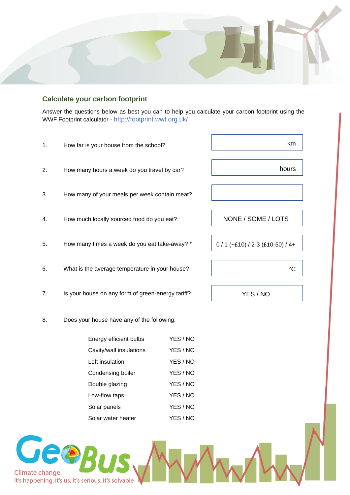

#### **Calculate your carbon footprint**

Answer the questions below as best you can to help you calculate your carbon footprint using the WWF Footprint calculator - <http://footprint.wwf.org.uk/>

| 1. | How far is your house from the school?            | km                               |  |  |  |  |  |  |
|----|---------------------------------------------------|----------------------------------|--|--|--|--|--|--|
| 2. | How many hours a week do you travel by car?       | hours                            |  |  |  |  |  |  |
| 3. | How many of your meals per week contain meat?     |                                  |  |  |  |  |  |  |
| 4. | How much locally sourced food do you eat?         | NONE / SOME / LOTS               |  |  |  |  |  |  |
| 5. | How many times a week do you eat take-away? *     | $0/1$ (~£10) / 2-3 (£10-50) / 4+ |  |  |  |  |  |  |
| 6. | What is the average temperature in your house?    | $^{\circ}C$                      |  |  |  |  |  |  |
| 7. | Is your house on any form of green-energy tariff? | YES / NO                         |  |  |  |  |  |  |
| 8. | Does your house have any of the following;        |                                  |  |  |  |  |  |  |
|    | Energy efficient bulbs                            | YES / NO                         |  |  |  |  |  |  |
|    | Cavity/wall insulations                           | YES / NO                         |  |  |  |  |  |  |
|    | Loft insulation                                   | YES / NO                         |  |  |  |  |  |  |
|    | Condensing boiler                                 | YES / NO                         |  |  |  |  |  |  |
|    | Double glazing                                    | YES / NO                         |  |  |  |  |  |  |
|    | Low-flow taps                                     | YES / NO                         |  |  |  |  |  |  |
|    | Solar panels                                      | YES / NO                         |  |  |  |  |  |  |

Solar water heater YES / NO

Geop Climate change: it's happening, it's us, it's serious, it's solvable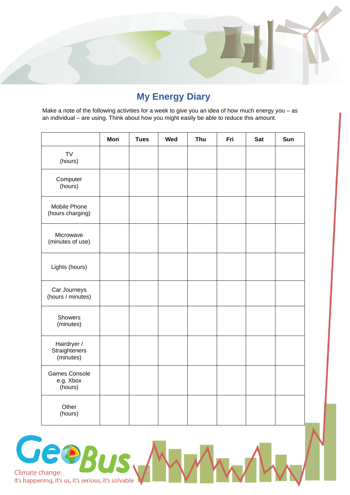

## **My Energy Diary**

Make a note of the following activities for a week to give you an idea of how much energy you – as an individual – are using. Think about how you might easily be able to reduce this amount.

|                                              | Mon | <b>Tues</b> | Wed | Thu | Fri | <b>Sat</b> | Sun |
|----------------------------------------------|-----|-------------|-----|-----|-----|------------|-----|
| <b>TV</b><br>(hours)                         |     |             |     |     |     |            |     |
| Computer<br>(hours)                          |     |             |     |     |     |            |     |
| Mobile Phone<br>(hours charging)             |     |             |     |     |     |            |     |
| Microwave<br>(minutes of use)                |     |             |     |     |     |            |     |
| Lights (hours)                               |     |             |     |     |     |            |     |
| Car Journeys<br>(hours / minutes)            |     |             |     |     |     |            |     |
| Showers<br>(minutes)                         |     |             |     |     |     |            |     |
| Hairdryer /<br>Straighteners<br>(minutes)    |     |             |     |     |     |            |     |
| <b>Games Console</b><br>e.g. Xbox<br>(hours) |     |             |     |     |     |            |     |
| Other<br>(hours)                             |     |             |     |     |     |            |     |

Geog Climate change: it's happening, it's us, it's serious, it's solvable